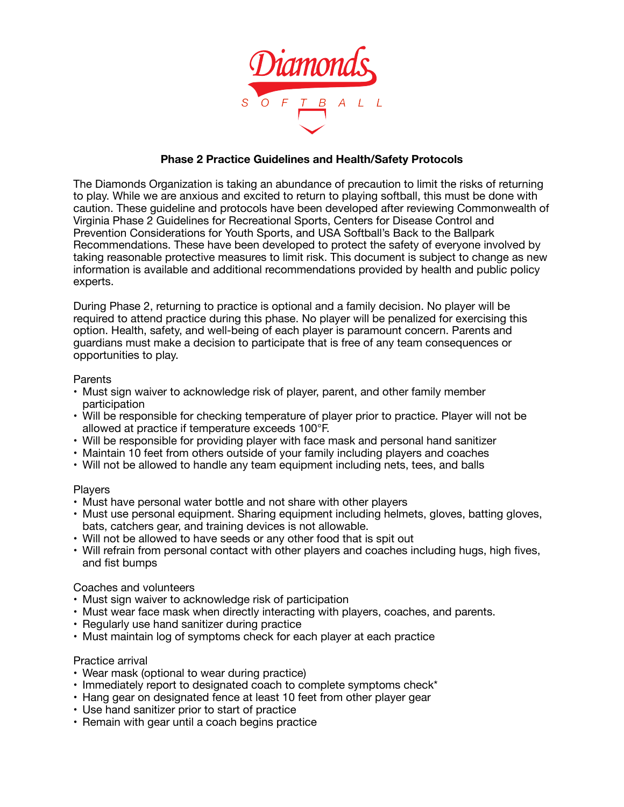

# **Phase 2 Practice Guidelines and Health/Safety Protocols**

The Diamonds Organization is taking an abundance of precaution to limit the risks of returning to play. While we are anxious and excited to return to playing softball, this must be done with caution. These guideline and protocols have been developed after reviewing Commonwealth of Virginia Phase 2 Guidelines for Recreational Sports, Centers for Disease Control and Prevention Considerations for Youth Sports, and USA Softball's Back to the Ballpark Recommendations. These have been developed to protect the safety of everyone involved by taking reasonable protective measures to limit risk. This document is subject to change as new information is available and additional recommendations provided by health and public policy experts.

During Phase 2, returning to practice is optional and a family decision. No player will be required to attend practice during this phase. No player will be penalized for exercising this option. Health, safety, and well-being of each player is paramount concern. Parents and guardians must make a decision to participate that is free of any team consequences or opportunities to play.

#### **Parents**

- Must sign waiver to acknowledge risk of player, parent, and other family member participation
- Will be responsible for checking temperature of player prior to practice. Player will not be allowed at practice if temperature exceeds 100°F.
- Will be responsible for providing player with face mask and personal hand sanitizer
- Maintain 10 feet from others outside of your family including players and coaches
- Will not be allowed to handle any team equipment including nets, tees, and balls

#### **Players**

- Must have personal water bottle and not share with other players
- Must use personal equipment. Sharing equipment including helmets, gloves, batting gloves, bats, catchers gear, and training devices is not allowable.
- Will not be allowed to have seeds or any other food that is spit out
- Will refrain from personal contact with other players and coaches including hugs, high fives, and fist bumps

# Coaches and volunteers

- Must sign waiver to acknowledge risk of participation
- Must wear face mask when directly interacting with players, coaches, and parents.
- Regularly use hand sanitizer during practice
- Must maintain log of symptoms check for each player at each practice

#### Practice arrival

- Wear mask (optional to wear during practice)
- Immediately report to designated coach to complete symptoms check\*
- Hang gear on designated fence at least 10 feet from other player gear
- Use hand sanitizer prior to start of practice
- Remain with gear until a coach begins practice